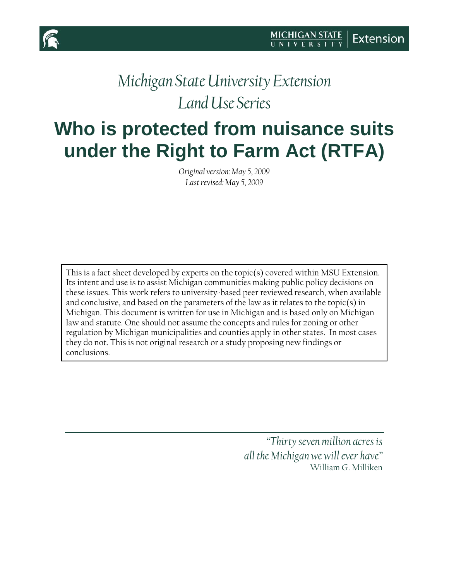

## *Michigan State University Extension Land Use Series*

# **Who is protected from nuisance suits under the Right to Farm Act (RTFA)**

*Original version: May 5, 2009 Last revised: May 5, 2009*

This is a fact sheet developed by experts on the topic(s) covered within MSU Extension. Its intent and use is to assist Michigan communities making public policy decisions on these issues. This work refers to university-based peer reviewed research, when available and conclusive, and based on the parameters of the law as it relates to the topic(s) in Michigan. This document is written for use in Michigan and is based only on Michigan law and statute. One should not assume the concepts and rules for zoning or other regulation by Michigan municipalities and counties apply in other states. In most cases they do not. This is not original research or a study proposing new findings or conclusions.

> *"Thirty seven million acres is all the Michigan we will ever have"* William G. Milliken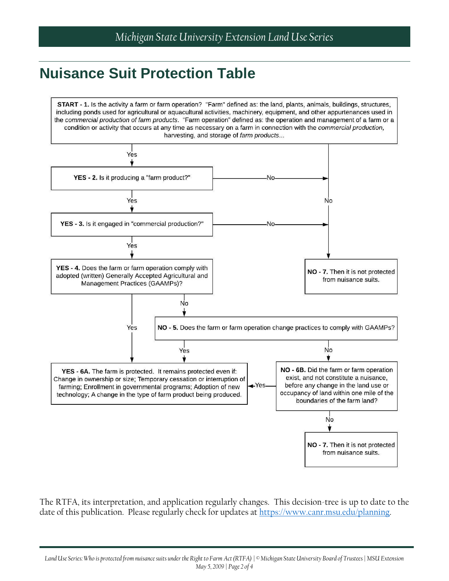### **Nuisance Suit Protection Table**



The RTFA, its interpretation, and application regularly changes. This decision-tree is up to date to the date of this publication. Please regularly check for updates at [https://www.canr.msu.edu/planning.](https://www.canr.msu.edu/planning)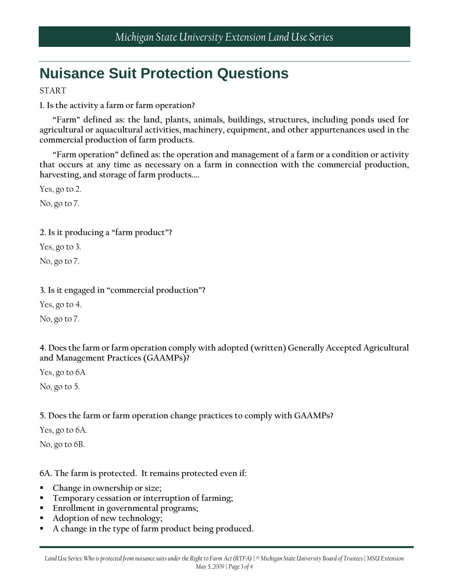## **Nuisance Suit Protection Questions**

START

**1. Is the activity a farm or farm operation?**

**"Farm" defined as: the land, plants, animals, buildings, structures, including ponds used for agricultural or aquacultural activities, machinery, equipment, and other appurtenances used in the commercial production of farm products.**

**"Farm operation" defined as: the operation and management of a farm or a condition or activity that occurs at any time as necessary on a farm in connection with the commercial production, harvesting, and storage of farm products....**

Yes, go to 2.

No, go to 7.

#### **2. Is it producing a "farm product"?**

Yes, go to 3.

No, go to 7.

#### **3. Is it engaged in "commercial production"?**

Yes, go to 4.

No, go to 7.

#### **4. Does the farm or farm operation comply with adopted (written) Generally Accepted Agricultural and Management Practices (GAAMPs)?**

Yes, go to 6A

No, go to 5.

#### **5. Does the farm or farm operation change practices to comply with GAAMPs?**

Yes, go to 6A.

No, go to 6B.

#### **6A. The farm is protected. It remains protected even if:**

- **Change in ownership or size;**
- **Temporary cessation or interruption of farming;**
- **Enrollment in governmental programs;**
- **Adoption of new technology;**
- **A change in the type of farm product being produced.**